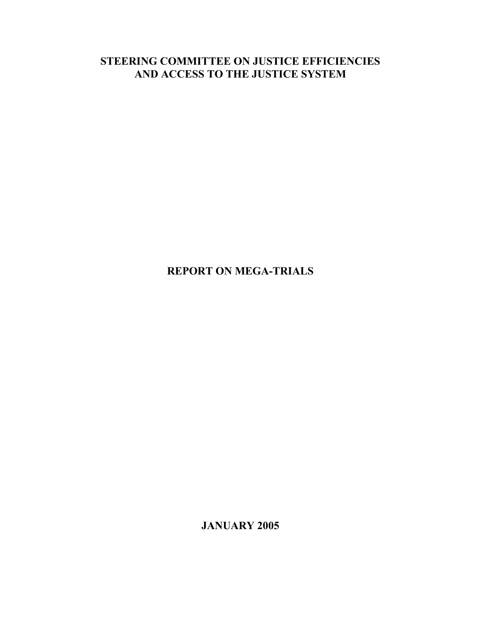## **STEERING COMMITTEE ON JUSTICE EFFICIENCIES AND ACCESS TO THE JUSTICE SYSTEM**

# **REPORT ON MEGA-TRIALS**

**JANUARY 2005**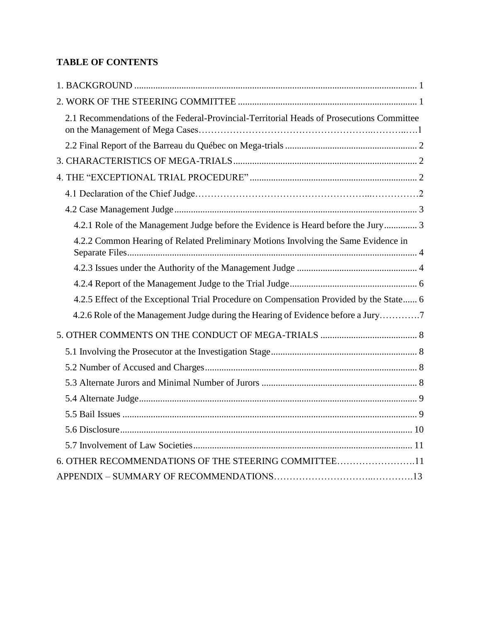## **TABLE OF CONTENTS**

| 2.1 Recommendations of the Federal-Provincial-Territorial Heads of Prosecutions Committee |  |
|-------------------------------------------------------------------------------------------|--|
|                                                                                           |  |
|                                                                                           |  |
|                                                                                           |  |
|                                                                                           |  |
|                                                                                           |  |
| 4.2.1 Role of the Management Judge before the Evidence is Heard before the Jury 3         |  |
| 4.2.2 Common Hearing of Related Preliminary Motions Involving the Same Evidence in        |  |
|                                                                                           |  |
|                                                                                           |  |
| 4.2.5 Effect of the Exceptional Trial Procedure on Compensation Provided by the State 6   |  |
| 4.2.6 Role of the Management Judge during the Hearing of Evidence before a Jury7          |  |
|                                                                                           |  |
|                                                                                           |  |
|                                                                                           |  |
|                                                                                           |  |
|                                                                                           |  |
|                                                                                           |  |
|                                                                                           |  |
|                                                                                           |  |
| 6. OTHER RECOMMENDATIONS OF THE STEERING COMMITTEE11                                      |  |
|                                                                                           |  |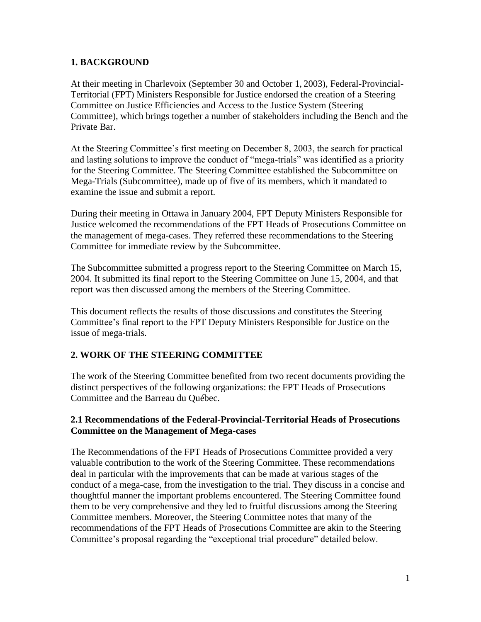#### <span id="page-2-0"></span>**1. BACKGROUND**

At their meeting in Charlevoix (September 30 and October 1, 2003), Federal-Provincial-Territorial (FPT) Ministers Responsible for Justice endorsed the creation of a Steering Committee on Justice Efficiencies and Access to the Justice System (Steering Committee), which brings together a number of stakeholders including the Bench and the Private Bar.

At the Steering Committee's first meeting on December 8, 2003, the search for practical and lasting solutions to improve the conduct of "mega-trials" was identified as a priority for the Steering Committee. The Steering Committee established the Subcommittee on Mega-Trials (Subcommittee), made up of five of its members, which it mandated to examine the issue and submit a report.

During their meeting in Ottawa in January 2004, FPT Deputy Ministers Responsible for Justice welcomed the recommendations of the FPT Heads of Prosecutions Committee on the management of mega-cases. They referred these recommendations to the Steering Committee for immediate review by the Subcommittee.

The Subcommittee submitted a progress report to the Steering Committee on March 15, 2004. It submitted its final report to the Steering Committee on June 15, 2004, and that report was then discussed among the members of the Steering Committee.

This document reflects the results of those discussions and constitutes the Steering Committee's final report to the FPT Deputy Ministers Responsible for Justice on the issue of mega-trials.

#### <span id="page-2-1"></span>**2. WORK OF THE STEERING COMMITTEE**

The work of the Steering Committee benefited from two recent documents providing the distinct perspectives of the following organizations: the FPT Heads of Prosecutions Committee and the Barreau du Québec.

#### **2.1 Recommendations of the Federal-Provincial-Territorial Heads of Prosecutions Committee on the Management of Mega-cases**

The Recommendations of the FPT Heads of Prosecutions Committee provided a very valuable contribution to the work of the Steering Committee. These recommendations deal in particular with the improvements that can be made at various stages of the conduct of a mega-case, from the investigation to the trial. They discuss in a concise and thoughtful manner the important problems encountered. The Steering Committee found them to be very comprehensive and they led to fruitful discussions among the Steering Committee members. Moreover, the Steering Committee notes that many of the recommendations of the FPT Heads of Prosecutions Committee are akin to the Steering Committee's proposal regarding the "exceptional trial procedure" detailed below.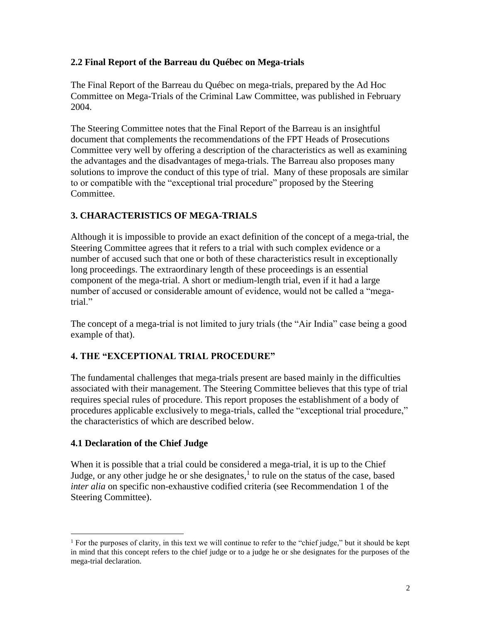#### <span id="page-3-0"></span>**2.2 Final Report of the Barreau du Québec on Mega-trials**

The Final Report of the Barreau du Québec on mega-trials, prepared by the Ad Hoc Committee on Mega-Trials of the Criminal Law Committee, was published in February 2004.

The Steering Committee notes that the Final Report of the Barreau is an insightful document that complements the recommendations of the FPT Heads of Prosecutions Committee very well by offering a description of the characteristics as well as examining the advantages and the disadvantages of mega-trials. The Barreau also proposes many solutions to improve the conduct of this type of trial. Many of these proposals are similar to or compatible with the "exceptional trial procedure" proposed by the Steering Committee.

## <span id="page-3-1"></span>**3. CHARACTERISTICS OF MEGA-TRIALS**

Although it is impossible to provide an exact definition of the concept of a mega-trial, the Steering Committee agrees that it refers to a trial with such complex evidence or a number of accused such that one or both of these characteristics result in exceptionally long proceedings. The extraordinary length of these proceedings is an essential component of the mega-trial. A short or medium-length trial, even if it had a large number of accused or considerable amount of evidence, would not be called a "megatrial"

The concept of a mega-trial is not limited to jury trials (the "Air India" case being a good example of that).

## <span id="page-3-2"></span>**4. THE "EXCEPTIONAL TRIAL PROCEDURE"**

The fundamental challenges that mega-trials present are based mainly in the difficulties associated with their management. The Steering Committee believes that this type of trial requires special rules of procedure. This report proposes the establishment of a body of procedures applicable exclusively to mega-trials, called the "exceptional trial procedure," the characteristics of which are described below.

#### **4.1 Declaration of the Chief Judge**

 $\overline{a}$ 

When it is possible that a trial could be considered a mega-trial, it is up to the Chief Judge, or any other judge he or she designates,<sup>1</sup> to rule on the status of the case, based *inter alia* on specific non-exhaustive codified criteria (see Recommendation 1 of the Steering Committee).

<sup>&</sup>lt;sup>1</sup> For the purposes of clarity, in this text we will continue to refer to the "chief judge," but it should be kept in mind that this concept refers to the chief judge or to a judge he or she designates for the purposes of the mega-trial declaration.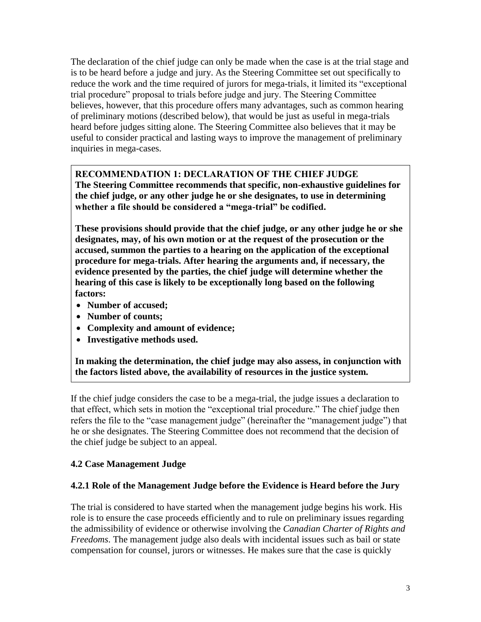The declaration of the chief judge can only be made when the case is at the trial stage and is to be heard before a judge and jury. As the Steering Committee set out specifically to reduce the work and the time required of jurors for mega-trials, it limited its "exceptional trial procedure" proposal to trials before judge and jury. The Steering Committee believes, however, that this procedure offers many advantages, such as common hearing of preliminary motions (described below), that would be just as useful in mega-trials heard before judges sitting alone. The Steering Committee also believes that it may be useful to consider practical and lasting ways to improve the management of preliminary inquiries in mega-cases.

#### **RECOMMENDATION 1: DECLARATION OF THE CHIEF JUDGE**

**The Steering Committee recommends that specific, non-exhaustive guidelines for the chief judge, or any other judge he or she designates, to use in determining whether a file should be considered a "mega-trial" be codified.** 

**These provisions should provide that the chief judge, or any other judge he or she designates, may, of his own motion or at the request of the prosecution or the accused, summon the parties to a hearing on the application of the exceptional procedure for mega-trials. After hearing the arguments and, if necessary, the evidence presented by the parties, the chief judge will determine whether the hearing of this case is likely to be exceptionally long based on the following factors:** 

- **Number of accused;**
- **Number of counts;**
- **Complexity and amount of evidence;**
- **Investigative methods used.**

**In making the determination, the chief judge may also assess, in conjunction with the factors listed above, the availability of resources in the justice system.**

If the chief judge considers the case to be a mega-trial, the judge issues a declaration to that effect, which sets in motion the "exceptional trial procedure." The chief judge then refers the file to the "case management judge" (hereinafter the "management judge") that he or she designates. The Steering Committee does not recommend that the decision of the chief judge be subject to an appeal.

#### <span id="page-4-0"></span>**4.2 Case Management Judge**

#### <span id="page-4-1"></span>**4.2.1 Role of the Management Judge before the Evidence is Heard before the Jury**

The trial is considered to have started when the management judge begins his work. His role is to ensure the case proceeds efficiently and to rule on preliminary issues regarding the admissibility of evidence or otherwise involving the *Canadian Charter of Rights and Freedoms*. The management judge also deals with incidental issues such as bail or state compensation for counsel, jurors or witnesses. He makes sure that the case is quickly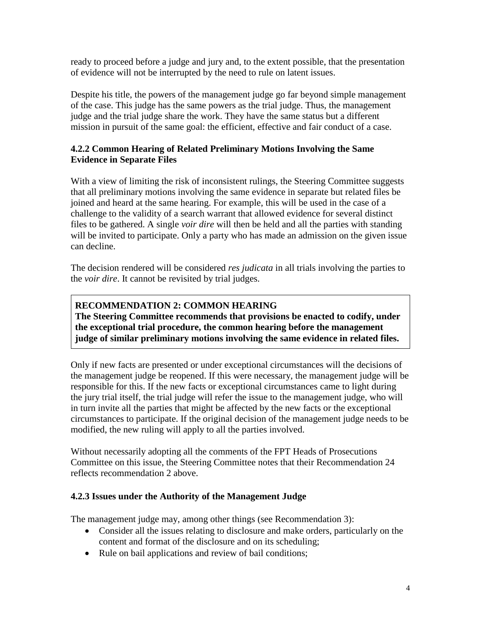ready to proceed before a judge and jury and, to the extent possible, that the presentation of evidence will not be interrupted by the need to rule on latent issues.

Despite his title, the powers of the management judge go far beyond simple management of the case. This judge has the same powers as the trial judge. Thus, the management judge and the trial judge share the work. They have the same status but a different mission in pursuit of the same goal: the efficient, effective and fair conduct of a case.

#### <span id="page-5-0"></span>**4.2.2 Common Hearing of Related Preliminary Motions Involving the Same Evidence in Separate Files**

With a view of limiting the risk of inconsistent rulings, the Steering Committee suggests that all preliminary motions involving the same evidence in separate but related files be joined and heard at the same hearing. For example, this will be used in the case of a challenge to the validity of a search warrant that allowed evidence for several distinct files to be gathered. A single *voir dire* will then be held and all the parties with standing will be invited to participate. Only a party who has made an admission on the given issue can decline.

The decision rendered will be considered *res judicata* in all trials involving the parties to the *voir dire*. It cannot be revisited by trial judges.

## **RECOMMENDATION 2: COMMON HEARING**

**The Steering Committee recommends that provisions be enacted to codify, under the exceptional trial procedure, the common hearing before the management judge of similar preliminary motions involving the same evidence in related files.**

Only if new facts are presented or under exceptional circumstances will the decisions of the management judge be reopened. If this were necessary, the management judge will be responsible for this. If the new facts or exceptional circumstances came to light during the jury trial itself, the trial judge will refer the issue to the management judge, who will in turn invite all the parties that might be affected by the new facts or the exceptional circumstances to participate. If the original decision of the management judge needs to be modified, the new ruling will apply to all the parties involved.

Without necessarily adopting all the comments of the FPT Heads of Prosecutions Committee on this issue, the Steering Committee notes that their Recommendation 24 reflects recommendation 2 above.

#### <span id="page-5-1"></span>**4.2.3 Issues under the Authority of the Management Judge**

The management judge may, among other things (see Recommendation 3):

- Consider all the issues relating to disclosure and make orders, particularly on the content and format of the disclosure and on its scheduling;
- Rule on bail applications and review of bail conditions;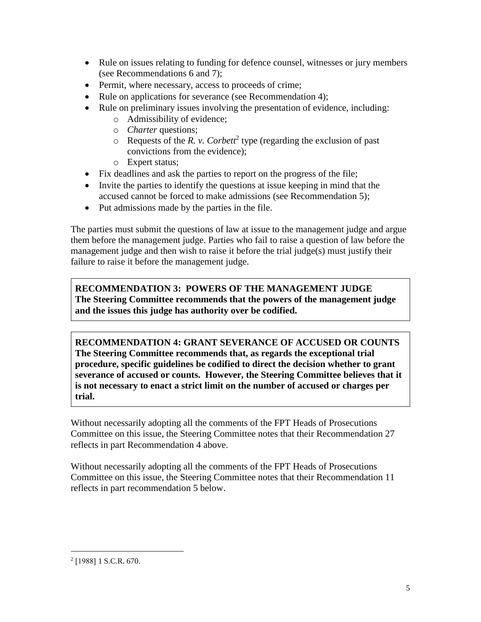- Rule on issues relating to funding for defence counsel, witnesses or jury members (see Recommendations 6 and 7);
- Permit, where necessary, access to proceeds of crime;
- Rule on applications for severance (see Recommendation 4);
- Rule on preliminary issues involving the presentation of evidence, including:
	- o Admissibility of evidence;
	- o *Charter* questions;
	- $\circ$  Requests of the *R. v. Corbett*<sup>2</sup> type (regarding the exclusion of past convictions from the evidence);
	- o Expert status;
- Fix deadlines and ask the parties to report on the progress of the file;
- Invite the parties to identify the questions at issue keeping in mind that the accused cannot be forced to make admissions (see Recommendation 5);
- Put admissions made by the parties in the file.

The parties must submit the questions of law at issue to the management judge and argue them before the management judge. Parties who fail to raise a question of law before the management judge and then wish to raise it before the trial judge(s) must justify their failure to raise it before the management judge.

**RECOMMENDATION 3: POWERS OF THE MANAGEMENT JUDGE The Steering Committee recommends that the powers of the management judge and the issues this judge has authority over be codified.**

**RECOMMENDATION 4: GRANT SEVERANCE OF ACCUSED OR COUNTS The Steering Committee recommends that, as regards the exceptional trial procedure, specific guidelines be codified to direct the decision whether to grant severance of accused or counts. However, the Steering Committee believes that it is not necessary to enact a strict limit on the number of accused or charges per trial.** 

Without necessarily adopting all the comments of the FPT Heads of Prosecutions Committee on this issue, the Steering Committee notes that their Recommendation 27 reflects in part Recommendation 4 above.

Without necessarily adopting all the comments of the FPT Heads of Prosecutions Committee on this issue, the Steering Committee notes that their Recommendation 11 reflects in part recommendation 5 below.

<span id="page-6-0"></span><sup>&</sup>lt;sup>2</sup> [1988] 1 S.C.R. 670.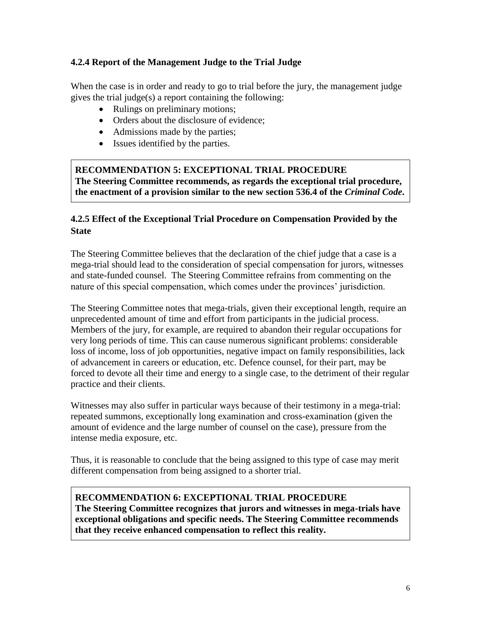#### **4.2.4 Report of the Management Judge to the Trial Judge**

When the case is in order and ready to go to trial before the jury, the management judge gives the trial judge(s) a report containing the following:

- Rulings on preliminary motions;
- Orders about the disclosure of evidence;
- Admissions made by the parties;
- Issues identified by the parties.

## **RECOMMENDATION 5: EXCEPTIONAL TRIAL PROCEDURE The Steering Committee recommends, as regards the exceptional trial procedure, the enactment of a provision similar to the new section 536.4 of the** *Criminal Code***.**

## <span id="page-7-0"></span>**4.2.5 Effect of the Exceptional Trial Procedure on Compensation Provided by the State**

The Steering Committee believes that the declaration of the chief judge that a case is a mega-trial should lead to the consideration of special compensation for jurors, witnesses and state-funded counsel. The Steering Committee refrains from commenting on the nature of this special compensation, which comes under the provinces' jurisdiction.

The Steering Committee notes that mega-trials, given their exceptional length, require an unprecedented amount of time and effort from participants in the judicial process. Members of the jury, for example, are required to abandon their regular occupations for very long periods of time. This can cause numerous significant problems: considerable loss of income, loss of job opportunities, negative impact on family responsibilities, lack of advancement in careers or education, etc. Defence counsel, for their part, may be forced to devote all their time and energy to a single case, to the detriment of their regular practice and their clients.

Witnesses may also suffer in particular ways because of their testimony in a mega-trial: repeated summons, exceptionally long examination and cross-examination (given the amount of evidence and the large number of counsel on the case), pressure from the intense media exposure, etc.

Thus, it is reasonable to conclude that the being assigned to this type of case may merit different compensation from being assigned to a shorter trial.

#### **RECOMMENDATION 6: EXCEPTIONAL TRIAL PROCEDURE The Steering Committee recognizes that jurors and witnesses in mega-trials have exceptional obligations and specific needs. The Steering Committee recommends that they receive enhanced compensation to reflect this reality.**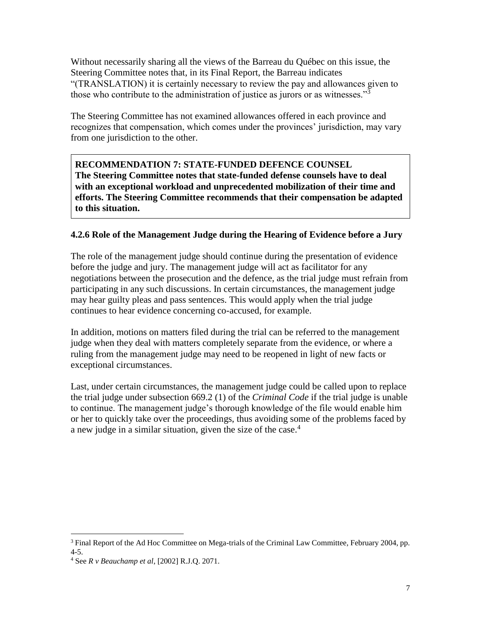Without necessarily sharing all the views of the Barreau du Québec on this issue, the Steering Committee notes that, in its Final Report, the Barreau indicates "(TRANSLATION) it is certainly necessary to review the pay and allowances given to those who contribute to the administration of justice as jurors or as witnesses."<sup>3</sup>

The Steering Committee has not examined allowances offered in each province and recognizes that compensation, which comes under the provinces' jurisdiction, may vary from one jurisdiction to the other.

**RECOMMENDATION 7: STATE-FUNDED DEFENCE COUNSEL The Steering Committee notes that state-funded defense counsels have to deal with an exceptional workload and unprecedented mobilization of their time and efforts. The Steering Committee recommends that their compensation be adapted to this situation.**

#### **4.2.6 Role of the Management Judge during the Hearing of Evidence before a Jury**

The role of the management judge should continue during the presentation of evidence before the judge and jury. The management judge will act as facilitator for any negotiations between the prosecution and the defence, as the trial judge must refrain from participating in any such discussions. In certain circumstances, the management judge may hear guilty pleas and pass sentences. This would apply when the trial judge continues to hear evidence concerning co-accused, for example.

In addition, motions on matters filed during the trial can be referred to the management judge when they deal with matters completely separate from the evidence, or where a ruling from the management judge may need to be reopened in light of new facts or exceptional circumstances.

<span id="page-8-0"></span>Last, under certain circumstances, the management judge could be called upon to replace the trial judge under subsection 669.2 (1) of the *Criminal Code* if the trial judge is unable to continue. The management judge's thorough knowledge of the file would enable him or her to quickly take over the proceedings, thus avoiding some of the problems faced by a new judge in a similar situation, given the size of the case.<sup>4</sup>

 $\overline{a}$ <sup>3</sup> Final Report of the Ad Hoc Committee on Mega-trials of the Criminal Law Committee, February 2004, pp.  $4 - 5$ .

<sup>4</sup> See *R v Beauchamp et al*, [2002] R.J.Q. 2071.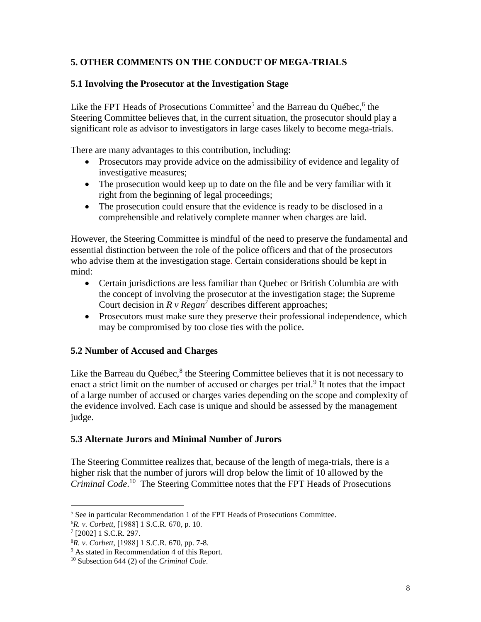## **5. OTHER COMMENTS ON THE CONDUCT OF MEGA-TRIALS**

## <span id="page-9-0"></span>**5.1 Involving the Prosecutor at the Investigation Stage**

Like the FPT Heads of Prosecutions Committee<sup>5</sup> and the Barreau du Québec,<sup>6</sup> the Steering Committee believes that, in the current situation, the prosecutor should play a significant role as advisor to investigators in large cases likely to become mega-trials.

There are many advantages to this contribution, including:

- Prosecutors may provide advice on the admissibility of evidence and legality of investigative measures;
- The prosecution would keep up to date on the file and be very familiar with it right from the beginning of legal proceedings;
- The prosecution could ensure that the evidence is ready to be disclosed in a comprehensible and relatively complete manner when charges are laid.

However, the Steering Committee is mindful of the need to preserve the fundamental and essential distinction between the role of the police officers and that of the prosecutors who advise them at the investigation stage. Certain considerations should be kept in mind:

- Certain jurisdictions are less familiar than Quebec or British Columbia are with the concept of involving the prosecutor at the investigation stage; the Supreme Court decision in  $R \, v \, Regan^7$  describes different approaches;
- Prosecutors must make sure they preserve their professional independence, which may be compromised by too close ties with the police.

#### <span id="page-9-1"></span>**5.2 Number of Accused and Charges**

Like the Barreau du Québec,<sup>8</sup> the Steering Committee believes that it is not necessary to enact a strict limit on the number of accused or charges per trial.<sup>9</sup> It notes that the impact of a large number of accused or charges varies depending on the scope and complexity of the evidence involved. Each case is unique and should be assessed by the management judge.

#### <span id="page-9-2"></span>**5.3 Alternate Jurors and Minimal Number of Jurors**

The Steering Committee realizes that, because of the length of mega-trials, there is a higher risk that the number of jurors will drop below the limit of 10 allowed by the *Criminal Code*. 10 The Steering Committee notes that the FPT Heads of Prosecutions

 $\overline{a}$ <sup>5</sup> See in particular Recommendation 1 of the FPT Heads of Prosecutions Committee.

<sup>6</sup>*R. v. Corbett*, 1 S.C.R. 670, p. 10.

<sup>7</sup> [2002] 1 S.C.R. 297.

<sup>8</sup>*R. v. Corbett*, 1 S.C.R. 670, pp. 7-8.

<sup>&</sup>lt;sup>9</sup> As stated in Recommendation 4 of this Report.

<sup>10</sup> Subsection 644 (2) of the *Criminal Code*.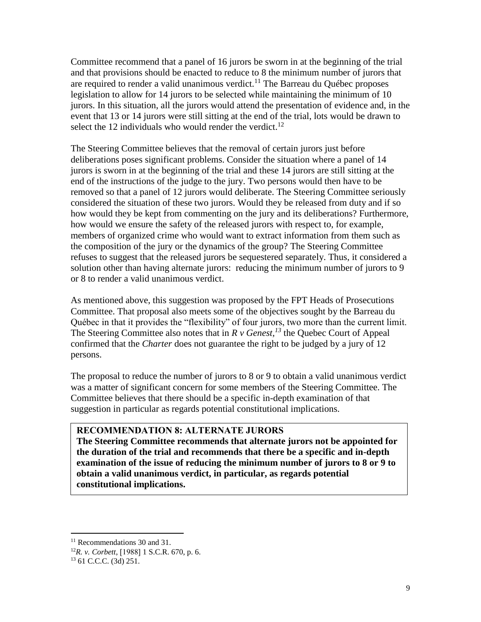Committee recommend that a panel of 16 jurors be sworn in at the beginning of the trial and that provisions should be enacted to reduce to 8 the minimum number of jurors that are required to render a valid unanimous verdict.<sup>11</sup> The Barreau du Québec proposes legislation to allow for 14 jurors to be selected while maintaining the minimum of 10 jurors. In this situation, all the jurors would attend the presentation of evidence and, in the event that 13 or 14 jurors were still sitting at the end of the trial, lots would be drawn to select the 12 individuals who would render the verdict.<sup>12</sup>

The Steering Committee believes that the removal of certain jurors just before deliberations poses significant problems. Consider the situation where a panel of 14 jurors is sworn in at the beginning of the trial and these 14 jurors are still sitting at the end of the instructions of the judge to the jury. Two persons would then have to be removed so that a panel of 12 jurors would deliberate. The Steering Committee seriously considered the situation of these two jurors. Would they be released from duty and if so how would they be kept from commenting on the jury and its deliberations? Furthermore, how would we ensure the safety of the released jurors with respect to, for example, members of organized crime who would want to extract information from them such as the composition of the jury or the dynamics of the group? The Steering Committee refuses to suggest that the released jurors be sequestered separately. Thus, it considered a solution other than having alternate jurors: reducing the minimum number of jurors to 9 or 8 to render a valid unanimous verdict.

As mentioned above, this suggestion was proposed by the FPT Heads of Prosecutions Committee. That proposal also meets some of the objectives sought by the Barreau du Québec in that it provides the "flexibility" of four jurors, two more than the current limit. The Steering Committee also notes that in *R v Genest*,<sup>*13*</sup> the Ouebec Court of Appeal confirmed that the *Charter* does not guarantee the right to be judged by a jury of 12 persons.

The proposal to reduce the number of jurors to 8 or 9 to obtain a valid unanimous verdict was a matter of significant concern for some members of the Steering Committee. The Committee believes that there should be a specific in-depth examination of that suggestion in particular as regards potential constitutional implications.

#### **RECOMMENDATION 8: ALTERNATE JURORS**

**The Steering Committee recommends that alternate jurors not be appointed for the duration of the trial and recommends that there be a specific and in-depth examination of the issue of reducing the minimum number of jurors to 8 or 9 to obtain a valid unanimous verdict, in particular, as regards potential constitutional implications.**

<span id="page-10-0"></span><sup>&</sup>lt;sup>11</sup> Recommendations 30 and 31.

<sup>&</sup>lt;sup>12</sup>*R. v. Corbett*, [1988] 1 S.C.R. 670, p. 6.

<sup>13</sup> 61 C.C.C. (3d) 251.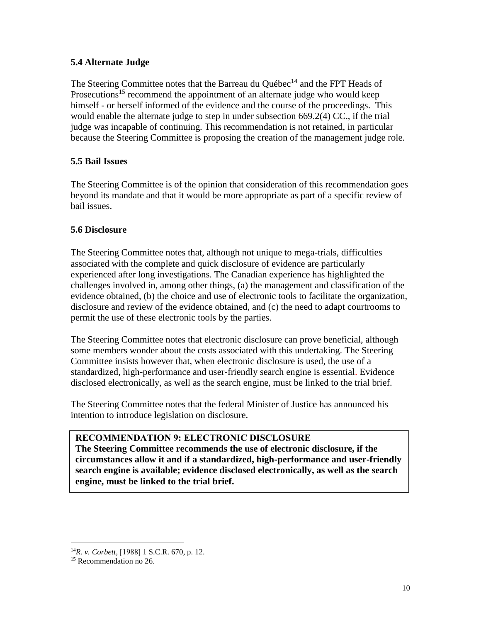#### **5.4 Alternate Judge**

The Steering Committee notes that the Barreau du Québec<sup>14</sup> and the FPT Heads of Prosecutions<sup>15</sup> recommend the appointment of an alternate judge who would keep himself - or herself informed of the evidence and the course of the proceedings. This would enable the alternate judge to step in under subsection 669.2(4) CC., if the trial judge was incapable of continuing. This recommendation is not retained, in particular because the Steering Committee is proposing the creation of the management judge role.

## <span id="page-11-0"></span>**5.5 Bail Issues**

The Steering Committee is of the opinion that consideration of this recommendation goes beyond its mandate and that it would be more appropriate as part of a specific review of bail issues.

## <span id="page-11-1"></span>**5.6 Disclosure**

The Steering Committee notes that, although not unique to mega-trials, difficulties associated with the complete and quick disclosure of evidence are particularly experienced after long investigations. The Canadian experience has highlighted the challenges involved in, among other things, (a) the management and classification of the evidence obtained, (b) the choice and use of electronic tools to facilitate the organization, disclosure and review of the evidence obtained, and (c) the need to adapt courtrooms to permit the use of these electronic tools by the parties.

The Steering Committee notes that electronic disclosure can prove beneficial, although some members wonder about the costs associated with this undertaking. The Steering Committee insists however that, when electronic disclosure is used, the use of a standardized, high-performance and user-friendly search engine is essential. Evidence disclosed electronically, as well as the search engine, must be linked to the trial brief.

The Steering Committee notes that the federal Minister of Justice has announced his intention to introduce legislation on disclosure.

#### **RECOMMENDATION 9: ELECTRONIC DISCLOSURE The Steering Committee recommends the use of electronic disclosure, if the circumstances allow it and if a standardized, high-performance and user-friendly search engine is available; evidence disclosed electronically, as well as the search engine, must be linked to the trial brief.**

<sup>&</sup>lt;sup>14</sup>R. v. Corbett, [1988] 1 S.C.R. 670, p. 12.

<sup>&</sup>lt;sup>15</sup> Recommendation no 26.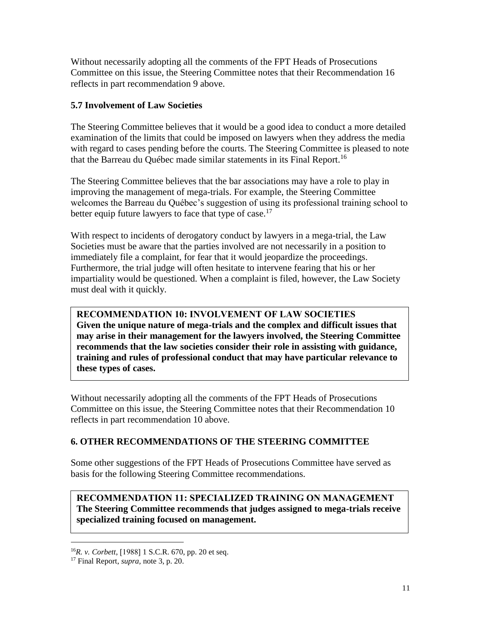Without necessarily adopting all the comments of the FPT Heads of Prosecutions Committee on this issue, the Steering Committee notes that their Recommendation 16 reflects in part recommendation 9 above.

#### <span id="page-12-0"></span>**5.7 Involvement of Law Societies**

The Steering Committee believes that it would be a good idea to conduct a more detailed examination of the limits that could be imposed on lawyers when they address the media with regard to cases pending before the courts. The Steering Committee is pleased to note that the Barreau du Québec made similar statements in its Final Report.<sup>16</sup>

The Steering Committee believes that the bar associations may have a role to play in improving the management of mega-trials. For example, the Steering Committee welcomes the Barreau du Québec's suggestion of using its professional training school to better equip future lawyers to face that type of case.<sup>17</sup>

With respect to incidents of derogatory conduct by lawyers in a mega-trial, the Law Societies must be aware that the parties involved are not necessarily in a position to immediately file a complaint, for fear that it would jeopardize the proceedings. Furthermore, the trial judge will often hesitate to intervene fearing that his or her impartiality would be questioned. When a complaint is filed, however, the Law Society must deal with it quickly.

#### **RECOMMENDATION 10: INVOLVEMENT OF LAW SOCIETIES Given the unique nature of mega-trials and the complex and difficult issues that may arise in their management for the lawyers involved, the Steering Committee recommends that the law societies consider their role in assisting with guidance, training and rules of professional conduct that may have particular relevance to these types of cases.**

Without necessarily adopting all the comments of the FPT Heads of Prosecutions Committee on this issue, the Steering Committee notes that their Recommendation 10 reflects in part recommendation 10 above.

## **6. OTHER RECOMMENDATIONS OF THE STEERING COMMITTEE**

Some other suggestions of the FPT Heads of Prosecutions Committee have served as basis for the following Steering Committee recommendations.

**RECOMMENDATION 11: SPECIALIZED TRAINING ON MANAGEMENT The Steering Committee recommends that judges assigned to mega-trials receive specialized training focused on management.** 

<sup>&</sup>lt;sup>16</sup>R. *v. Corbett*, [1988] 1 S.C.R. 670, pp. 20 et seq.

<sup>17</sup> Final Report, *supra,* note 3, p. 20.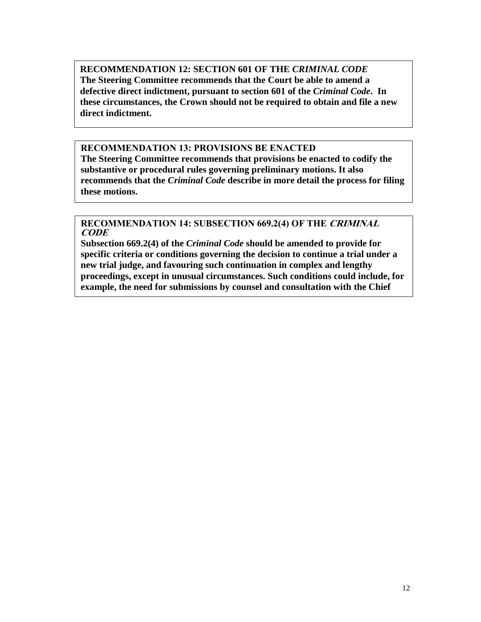**RECOMMENDATION 12: SECTION 601 OF THE** *CRIMINAL CODE* **The Steering Committee recommends that the Court be able to amend a defective direct indictment, pursuant to section 601 of the** *Criminal Code***. In these circumstances, the Crown should not be required to obtain and file a new direct indictment.** 

## **RECOMMENDATION 13: PROVISIONS BE ENACTED**

**Justice.**

**The Steering Committee recommends that provisions be enacted to codify the substantive or procedural rules governing preliminary motions. It also recommends that the** *Criminal Code* **describe in more detail the process for filing these motions.** 

#### **RECOMMENDATION 14: SUBSECTION 669.2(4) OF THE CRIMINAL CODE**

**Subsection 669.2(4) of the** *Criminal Code* **should be amended to provide for specific criteria or conditions governing the decision to continue a trial under a new trial judge, and favouring such continuation in complex and lengthy proceedings, except in unusual circumstances. Such conditions could include, for example, the need for submissions by counsel and consultation with the Chief**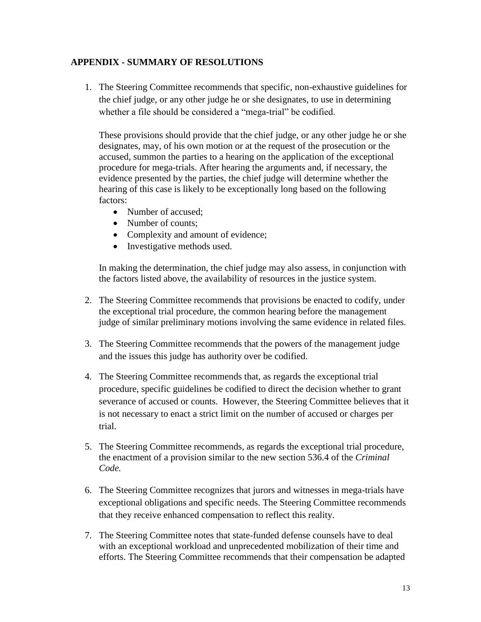#### **APPENDIX - SUMMARY OF RESOLUTIONS**

1. The Steering Committee recommends that specific, non-exhaustive guidelines for the chief judge, or any other judge he or she designates, to use in determining whether a file should be considered a "mega-trial" be codified.

These provisions should provide that the chief judge, or any other judge he or she designates, may, of his own motion or at the request of the prosecution or the accused, summon the parties to a hearing on the application of the exceptional procedure for mega-trials. After hearing the arguments and, if necessary, the evidence presented by the parties, the chief judge will determine whether the hearing of this case is likely to be exceptionally long based on the following factors:

- Number of accused;
- Number of counts:
- Complexity and amount of evidence;
- Investigative methods used.

In making the determination, the chief judge may also assess, in conjunction with the factors listed above, the availability of resources in the justice system.

- 2. The Steering Committee recommends that provisions be enacted to codify, under the exceptional trial procedure, the common hearing before the management judge of similar preliminary motions involving the same evidence in related files.
- 3. The Steering Committee recommends that the powers of the management judge and the issues this judge has authority over be codified.
- 4. The Steering Committee recommends that, as regards the exceptional trial procedure, specific guidelines be codified to direct the decision whether to grant severance of accused or counts. However, the Steering Committee believes that it is not necessary to enact a strict limit on the number of accused or charges per trial.
- 5. The Steering Committee recommends, as regards the exceptional trial procedure, the enactment of a provision similar to the new section 536.4 of the *Criminal Code.*
- 6. The Steering Committee recognizes that jurors and witnesses in mega-trials have exceptional obligations and specific needs. The Steering Committee recommends that they receive enhanced compensation to reflect this reality.
- 7. The Steering Committee notes that state-funded defense counsels have to deal with an exceptional workload and unprecedented mobilization of their time and efforts. The Steering Committee recommends that their compensation be adapted